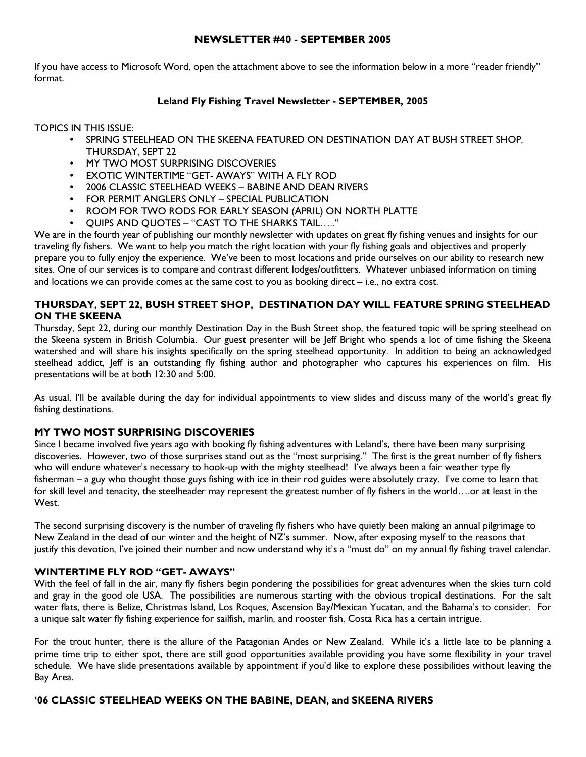### NEWSLETTER #40 - SEPTEMBER 2005

If you have access to Microsoft Word, open the attachment above to see the information below in a more "reader friendly" format.

## Leland Fly Fishing Travel Newsletter - SEPTEMBER, 2005

TOPICS IN THIS ISSUE:

- SPRING STEELHEAD ON THE SKEENA FEATURED ON DESTINATION DAY AT BUSH STREET SHOP, THURSDAY, SEPT 22
- MY TWO MOST SURPRISING DISCOVERIES
- **EXOTIC WINTERTIME "GET- AWAYS" WITH A FLY ROD**
- 2006 CLASSIC STEELHEAD WEEKS BABINE AND DEAN RIVERS
- FOR PERMIT ANGLERS ONLY SPECIAL PUBLICATION
- ROOM FOR TWO RODS FOR EARLY SEASON (APRIL) ON NORTH PLATTE
- QUIPS AND QUOTES "CAST TO THE SHARKS TAIL….."

We are in the fourth year of publishing our monthly newsletter with updates on great fly fishing venues and insights for our traveling fly fishers. We want to help you match the right location with your fly fishing goals and objectives and properly prepare you to fully enjoy the experience. We've been to most locations and pride ourselves on our ability to research new sites. One of our services is to compare and contrast different lodges/outfitters. Whatever unbiased information on timing and locations we can provide comes at the same cost to you as booking direct – i.e., no extra cost.

# THURSDAY, SEPT 22, BUSH STREET SHOP, DESTINATION DAY WILL FEATURE SPRING STEELHEAD ON THE SKEENA

Thursday, Sept 22, during our monthly Destination Day in the Bush Street shop, the featured topic will be spring steelhead on the Skeena system in British Columbia. Our guest presenter will be Jeff Bright who spends a lot of time fishing the Skeena watershed and will share his insights specifically on the spring steelhead opportunity. In addition to being an acknowledged steelhead addict, Jeff is an outstanding fly fishing author and photographer who captures his experiences on film. His presentations will be at both 12:30 and 5:00.

As usual, I'll be available during the day for individual appointments to view slides and discuss many of the world's great fly fishing destinations.

## MY TWO MOST SURPRISING DISCOVERIES

Since I became involved five years ago with booking fly fishing adventures with Leland's, there have been many surprising discoveries. However, two of those surprises stand out as the "most surprising." The first is the great number of fly fishers who will endure whatever's necessary to hook-up with the mighty steelhead! I've always been a fair weather type fly fisherman – a guy who thought those guys fishing with ice in their rod guides were absolutely crazy. I've come to learn that for skill level and tenacity, the steelheader may represent the greatest number of fly fishers in the world….or at least in the West.

The second surprising discovery is the number of traveling fly fishers who have quietly been making an annual pilgrimage to New Zealand in the dead of our winter and the height of NZ's summer. Now, after exposing myself to the reasons that justify this devotion, I've joined their number and now understand why it's a "must do" on my annual fly fishing travel calendar.

## WINTERTIME FLY ROD "GET- AWAYS"

With the feel of fall in the air, many fly fishers begin pondering the possibilities for great adventures when the skies turn cold and gray in the good ole USA. The possibilities are numerous starting with the obvious tropical destinations. For the salt water flats, there is Belize, Christmas Island, Los Roques, Ascension Bay/Mexican Yucatan, and the Bahama's to consider. For a unique salt water fly fishing experience for sailfish, marlin, and rooster fish, Costa Rica has a certain intrigue.

For the trout hunter, there is the allure of the Patagonian Andes or New Zealand. While it's a little late to be planning a prime time trip to either spot, there are still good opportunities available providing you have some flexibility in your travel schedule. We have slide presentations available by appointment if you'd like to explore these possibilities without leaving the Bay Area.

## '06 CLASSIC STEELHEAD WEEKS ON THE BABINE, DEAN, and SKEENA RIVERS